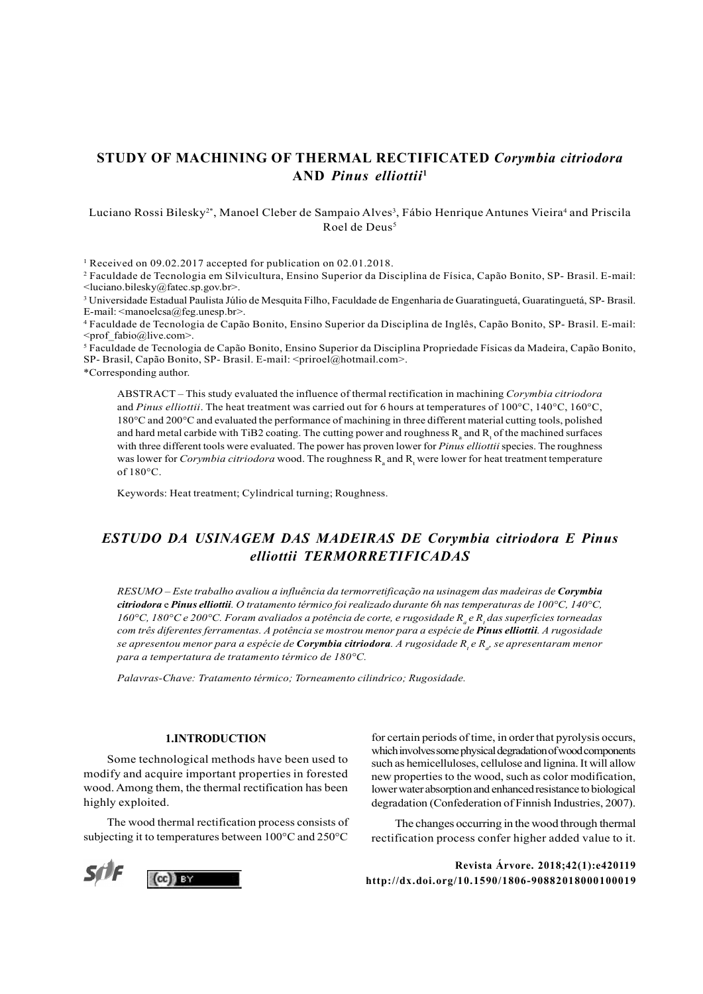# STUDY OF MACHINING OF THERMAL RECTIFICATED Corymbia citriodora AND Pinus elliottii<sup>1</sup>

### Luciano Rossi Bilesky $^{2*}$ , Manoel Cleber de Sampaio Alves $^3$ , Fábio Henrique Antunes Vieira $^4$  and Priscila Roel de Deus<sup>5</sup>

1 Received on 09.02.2017 accepted for publication on 02.01.2018.

2 Faculdade de Tecnologia em Silvicultura, Ensino Superior da Disciplina de Física, Capão Bonito, SP- Brasil. E-mail: <luciano.bilesky@fatec.sp.gov.br>.

3 Universidade Estadual Paulista Júlio de Mesquita Filho, Faculdade de Engenharia de Guaratinguetá, Guaratinguetá, SP- Brasil. E-mail:  $\leq$ manoelcsa $@$ feg.unesp.br $>$ .

4 Faculdade de Tecnologia de Capão Bonito, Ensino Superior da Disciplina de Inglês, Capão Bonito, SP- Brasil. E-mail: <prof\_fabio@live.com>.

5 Faculdade de Tecnologia de Capão Bonito, Ensino Superior da Disciplina Propriedade Físicas da Madeira, Capão Bonito, SP- Brasil, Capão Bonito, SP- Brasil. E-mail: <priroel@hotmail.com>.

\*Corresponding author.

ABSTRACT – This study evaluated the influence of thermal rectification in machining Corymbia citriodora and Pinus elliottii. The heat treatment was carried out for 6 hours at temperatures of  $100^{\circ}$ C,  $140^{\circ}$ C,  $160^{\circ}$ C, 180°C and 200°C and evaluated the performance of machining in three different material cutting tools, polished and hard metal carbide with TiB2 coating. The cutting power and roughness  $R_a$  and  $R_t$  of the machined surfaces with three different tools were evaluated. The power has proven lower for Pinus elliottii species. The roughness was lower for Corymbia citriodora wood. The roughness  $R_{\rm a}$  and  $R_{\rm t}$  were lower for heat treatment temperature of 180°C.

Keywords: Heat treatment; Cylindrical turning; Roughness.

## ESTUDO DA USINAGEM DAS MADEIRAS DE Corymbia citriodora E Pinus elliottii TERMORRETIFICADAS

RESUMO – Este trabalho avaliou a influência da termorretificação na usinagem das madeiras de Corymbia citriodora e Pinus elliottii. O tratamento térmico foi realizado durante 6h nas temperaturas de 100°C, 140°C, 160°C, 180°C e 200°C. Foram avaliados a potência de corte, e rugosidade R<sub>a</sub> e R<sub>t</sub> das superfícies torneadas com três diferentes ferramentas. A potência se mostrou menor para a espécie de Pinus elliottii. A rugosidade se apresentou menor para a espécie de **Corymbia citriodora**. A rugosidade R<sub>,</sub> e R<sub>a</sub>, se apresentaram menor para a tempertatura de tratamento térmico de 180°C.

Palavras-Chave: Tratamento térmico; Torneamento cilindrico; Rugosidade.

#### 1.INTRODUCTION

Some technological methods have been used to modify and acquire important properties in forested wood. Among them, the thermal rectification has been highly exploited.

The wood thermal rectification process consists of subjecting it to temperatures between 100°C and 250°C



for certain periods of time, in order that pyrolysis occurs, which involves some physical degradation of wood components such as hemicelluloses, cellulose and lignina. It will allow new properties to the wood, such as color modification, lower water absorption and enhanced resistance to biological degradation (Confederation of Finnish Industries, 2007).

The changes occurring in the wood through thermal rectification process confer higher added value to it.

Revista Árvore. 2018;42(1):e420119 http://dx.doi.org/10.1590/1806-90882018000100019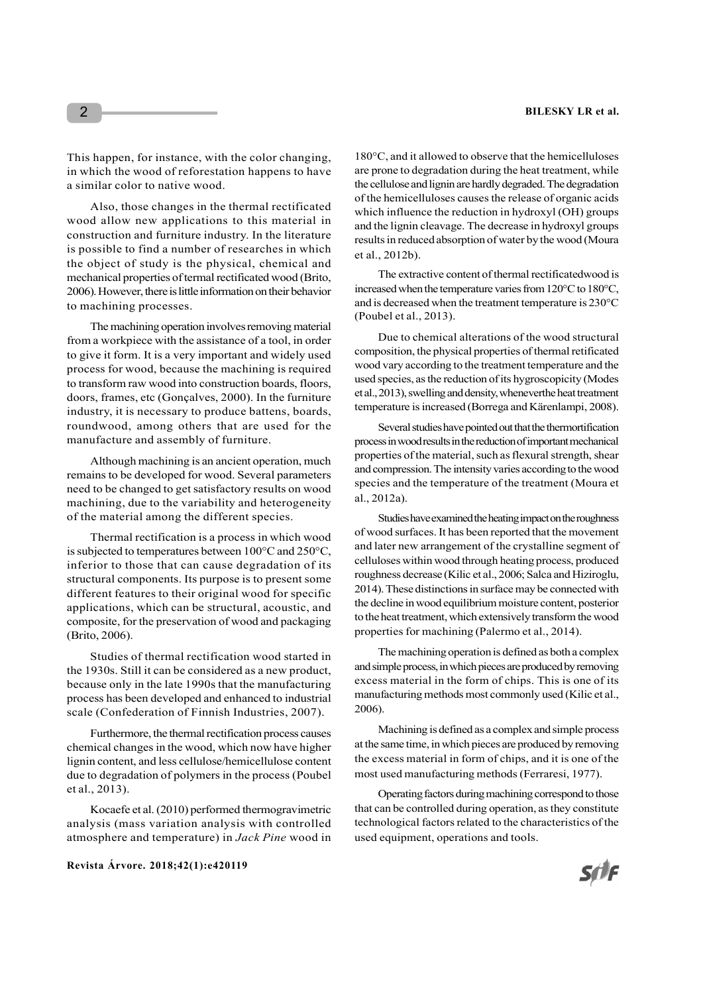This happen, for instance, with the color changing, in which the wood of reforestation happens to have a similar color to native wood.

Also, those changes in the thermal rectificated wood allow new applications to this material in construction and furniture industry. In the literature is possible to find a number of researches in which the object of study is the physical, chemical and mechanical properties of termal rectificated wood (Brito, 2006). However, there is little information on their behavior to machining processes.

The machining operation involves removing material from a workpiece with the assistance of a tool, in order to give it form. It is a very important and widely used process for wood, because the machining is required to transform raw wood into construction boards, floors, doors, frames, etc (Gonçalves, 2000). In the furniture industry, it is necessary to produce battens, boards, roundwood, among others that are used for the manufacture and assembly of furniture.

Although machining is an ancient operation, much remains to be developed for wood. Several parameters need to be changed to get satisfactory results on wood machining, due to the variability and heterogeneity of the material among the different species.

Thermal rectification is a process in which wood is subjected to temperatures between 100°C and 250°C, inferior to those that can cause degradation of its structural components. Its purpose is to present some different features to their original wood for specific applications, which can be structural, acoustic, and composite, for the preservation of wood and packaging (Brito, 2006).

Studies of thermal rectification wood started in the 1930s. Still it can be considered as a new product, because only in the late 1990s that the manufacturing process has been developed and enhanced to industrial scale (Confederation of Finnish Industries, 2007).

Furthermore, the thermal rectification process causes chemical changes in the wood, which now have higher lignin content, and less cellulose/hemicellulose content due to degradation of polymers in the process (Poubel et al., 2013).

Kocaefe et al. (2010) performed thermogravimetric analysis (mass variation analysis with controlled atmosphere and temperature) in Jack Pine wood in

Revista Árvore. 2018;42(1):e420119

180°C, and it allowed to observe that the hemicelluloses are prone to degradation during the heat treatment, while the cellulose and lignin are hardly degraded. The degradation of the hemicelluloses causes the release of organic acids which influence the reduction in hydroxyl (OH) groups and the lignin cleavage. The decrease in hydroxyl groups results in reduced absorption of water by the wood (Moura et al., 2012b).

The extractive content of thermal rectificatedwood is increased when the temperature varies from 120°C to 180°C, and is decreased when the treatment temperature is 230°C (Poubel et al., 2013).

Due to chemical alterations of the wood structural composition, the physical properties of thermal retificated wood vary according to the treatment temperature and the used species, as the reduction of its hygroscopicity (Modes et al., 2013), swelling and density, wheneverthe heat treatment temperature is increased (Borrega and Kärenlampi, 2008).

Several studies have pointed out that the thermortification process in wood results in the reduction of important mechanical properties of the material, such as flexural strength, shear and compression. The intensity varies according to the wood species and the temperature of the treatment (Moura et al., 2012a).

Studies have examined the heating impact on the roughness of wood surfaces. It has been reported that the movement and later new arrangement of the crystalline segment of celluloses within wood through heating process, produced roughness decrease (Kilic et al., 2006; Salca and Hiziroglu, 2014). These distinctions in surface may be connected with the decline in wood equilibrium moisture content, posterior to the heat treatment, which extensively transform the wood properties for machining (Palermo et al., 2014).

The machining operation is defined as both a complex and simple process, in which pieces are produced by removing excess material in the form of chips. This is one of its manufacturing methods most commonly used (Kilic et al., 2006).

Machining is defined as a complex and simple process at the same time, in which pieces are produced by removing the excess material in form of chips, and it is one of the most used manufacturing methods (Ferraresi, 1977).

Operating factors during machining correspond to those that can be controlled during operation, as they constitute technological factors related to the characteristics of the used equipment, operations and tools.

2

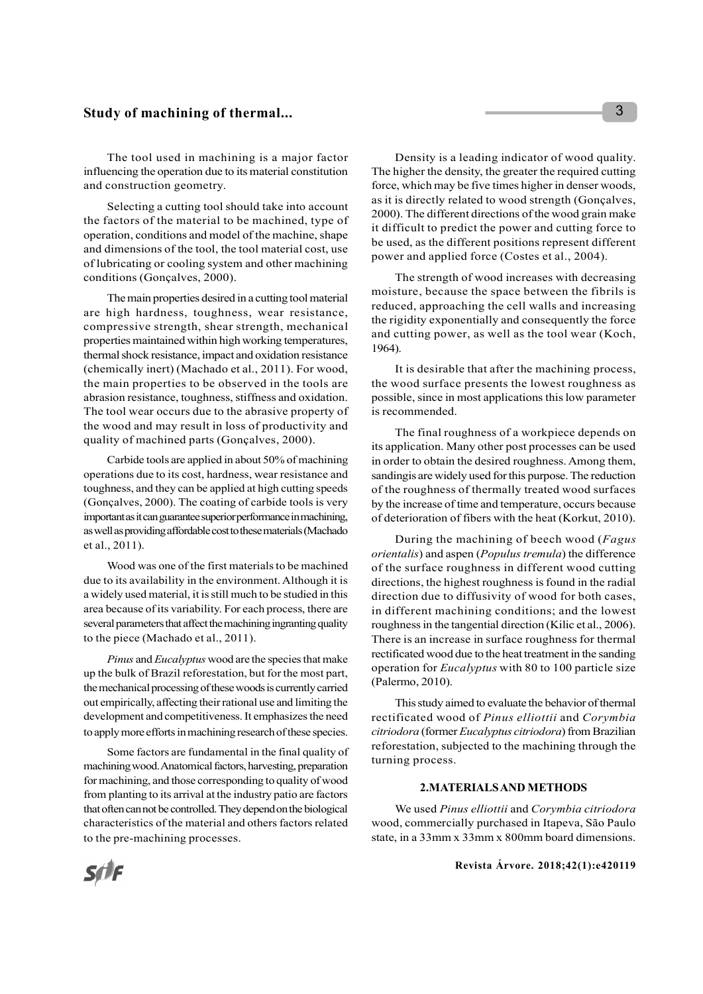## Study of machining of thermal...

The tool used in machining is a major factor influencing the operation due to its material constitution and construction geometry.

Selecting a cutting tool should take into account the factors of the material to be machined, type of operation, conditions and model of the machine, shape and dimensions of the tool, the tool material cost, use of lubricating or cooling system and other machining conditions (Gonçalves, 2000).

The main properties desired in a cutting tool material are high hardness, toughness, wear resistance, compressive strength, shear strength, mechanical properties maintained within high working temperatures, thermal shock resistance, impact and oxidation resistance (chemically inert) (Machado et al., 2011). For wood, the main properties to be observed in the tools are abrasion resistance, toughness, stiffness and oxidation. The tool wear occurs due to the abrasive property of the wood and may result in loss of productivity and quality of machined parts (Gonçalves, 2000).

Carbide tools are applied in about 50% of machining operations due to its cost, hardness, wear resistance and toughness, and they can be applied at high cutting speeds (Gonçalves, 2000). The coating of carbide tools is very important as it can guarantee superior performance in machining, as well as providing affordable cost to these materials (Machado et al., 2011).

Wood was one of the first materials to be machined due to its availability in the environment. Although it is a widely used material, it is still much to be studied in this area because of its variability. For each process, there are several parameters that affect the machining ingranting quality to the piece (Machado et al., 2011).

Pinus and *Eucalyptus* wood are the species that make up the bulk of Brazil reforestation, but for the most part, the mechanical processing of these woods is currently carried out empirically, affecting their rational use and limiting the development and competitiveness. It emphasizes the need to apply more efforts in machining research of these species.

Some factors are fundamental in the final quality of machining wood. Anatomical factors, harvesting, preparation for machining, and those corresponding to quality of wood from planting to its arrival at the industry patio are factors that often can not be controlled. They depend on the biological characteristics of the material and others factors related to the pre-machining processes.

Density is a leading indicator of wood quality. The higher the density, the greater the required cutting force, which may be five times higher in denser woods, as it is directly related to wood strength (Gonçalves, 2000). The different directions of the wood grain make it difficult to predict the power and cutting force to be used, as the different positions represent different power and applied force (Costes et al., 2004).

The strength of wood increases with decreasing moisture, because the space between the fibrils is reduced, approaching the cell walls and increasing the rigidity exponentially and consequently the force and cutting power, as well as the tool wear (Koch, 1964).

It is desirable that after the machining process, the wood surface presents the lowest roughness as possible, since in most applications this low parameter is recommended.

The final roughness of a workpiece depends on its application. Many other post processes can be used in order to obtain the desired roughness. Among them, sandingis are widely used for this purpose. The reduction of the roughness of thermally treated wood surfaces by the increase of time and temperature, occurs because of deterioration of fibers with the heat (Korkut, 2010).

During the machining of beech wood (Fagus orientalis) and aspen (Populus tremula) the difference of the surface roughness in different wood cutting directions, the highest roughness is found in the radial direction due to diffusivity of wood for both cases, in different machining conditions; and the lowest roughness in the tangential direction (Kilic et al., 2006). There is an increase in surface roughness for thermal rectificated wood due to the heat treatment in the sanding operation for Eucalyptus with 80 to 100 particle size (Palermo, 2010).

This study aimed to evaluate the behavior of thermal rectificated wood of Pinus elliottii and Corymbia citriodora (former Eucalyptus citriodora) from Brazilian reforestation, subjected to the machining through the turning process.

#### 2.MATERIALS AND METHODS

We used Pinus elliottii and Corymbia citriodora wood, commercially purchased in Itapeva, São Paulo state, in a 33mm x 33mm x 800mm board dimensions.

# **SfIF**

#### Revista Árvore. 2018;42(1):e420119

3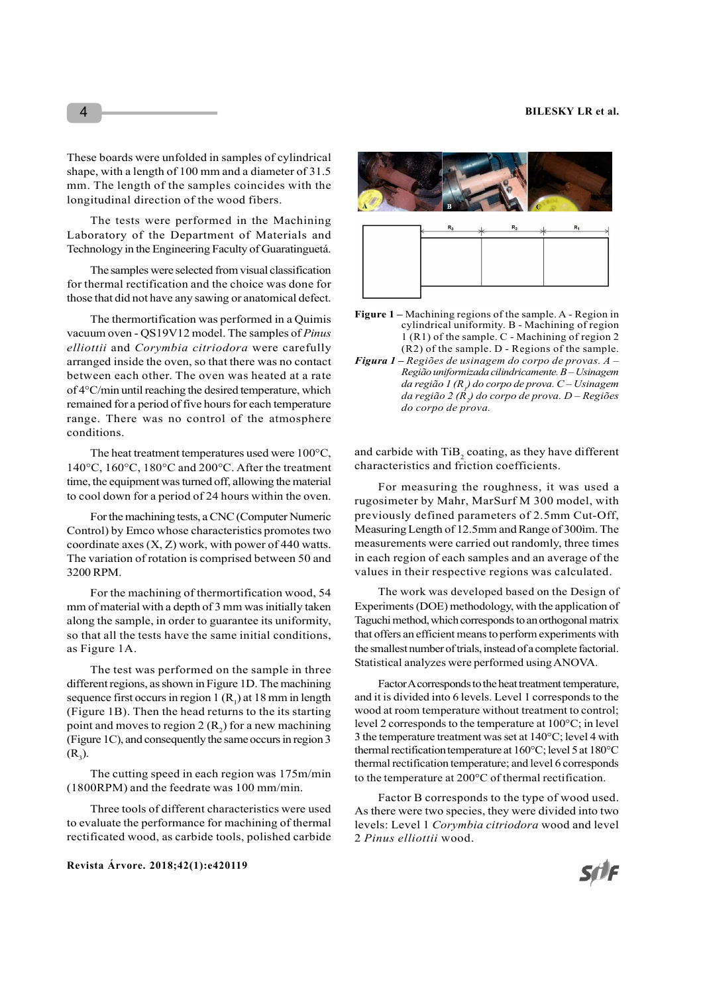These boards were unfolded in samples of cylindrical shape, with a length of 100 mm and a diameter of 31.5 mm. The length of the samples coincides with the longitudinal direction of the wood fibers.

The tests were performed in the Machining Laboratory of the Department of Materials and Technology in the Engineering Faculty of Guaratinguetá.

The samples were selected from visual classification for thermal rectification and the choice was done for those that did not have any sawing or anatomical defect.

The thermortification was performed in a Quimis vacuum oven - QS19V12 model. The samples of Pinus elliottii and Corymbia citriodora were carefully arranged inside the oven, so that there was no contact between each other. The oven was heated at a rate of 4°C/min until reaching the desired temperature, which remained for a period of five hours for each temperature range. There was no control of the atmosphere conditions.

The heat treatment temperatures used were 100°C, 140°C, 160°C, 180°C and 200°C. After the treatment time, the equipment was turned off, allowing the material to cool down for a period of 24 hours within the oven.

For the machining tests, a CNC (Computer Numeric Control) by Emco whose characteristics promotes two coordinate axes (X, Z) work, with power of 440 watts. The variation of rotation is comprised between 50 and 3200 RPM.

For the machining of thermortification wood, 54 mm of material with a depth of 3 mm was initially taken along the sample, in order to guarantee its uniformity, so that all the tests have the same initial conditions, as Figure 1A.

The test was performed on the sample in three different regions, as shown in Figure 1D. The machining sequence first occurs in region  $1(R<sub>1</sub>)$  at  $18$  mm in length (Figure 1B). Then the head returns to the its starting point and moves to region 2  $(R_2)$  for a new machining (Figure 1C), and consequently the same occurs in region 3  $(R_3)$ . ).

The cutting speed in each region was 175m/min (1800RPM) and the feedrate was 100 mm/min.

Three tools of different characteristics were used to evaluate the performance for machining of thermal rectificated wood, as carbide tools, polished carbide

#### Revista Árvore. 2018;42(1):e420119





- Figure 1 Machining regions of the sample. A Region in cylindrical uniformity. B - Machining of region 1 (R1) of the sample. C - Machining of region 2 (R2) of the sample. D - Regions of the sample.
- Figura  $1$  Regiões de usinagem do corpo de provas.  $A$  Região uniformizada cilindricamente. B – Usinagem da região 1 (R  $_{\rm l}$ ) do corpo de prova. C $-$ Usinagem da região 2 ( $\dot{R_{2}}$ ) do corpo de prova. D $-$  Regiões do corpo de prova.

and carbide with  $\mathrm{TiB}_2$  coating, as they have different characteristics and friction coefficients.

For measuring the roughness, it was used a rugosimeter by Mahr, MarSurf M 300 model, with previously defined parameters of 2.5mm Cut-Off, Measuring Length of 12.5mm and Range of 300ìm. The measurements were carried out randomly, three times in each region of each samples and an average of the values in their respective regions was calculated.

The work was developed based on the Design of Experiments (DOE) methodology, with the application of Taguchi method, which corresponds to an orthogonal matrix that offers an efficient means to perform experiments with the smallest number of trials, instead of a complete factorial. Statistical analyzes were performed using ANOVA.

) at 18 mm in length and it is divided into 6 levels. Level 1 corresponds to the ) for a new machining level 2 corresponds to the temperature at 100°C; in level Factor A corresponds to the heat treatment temperature, wood at room temperature without treatment to control; 3 the temperature treatment was set at 140°C; level 4 with thermal rectification temperature at 160°C; level 5 at 180°C thermal rectification temperature; and level 6 corresponds to the temperature at 200°C of thermal rectification.

> Factor B corresponds to the type of wood used. As there were two species, they were divided into two levels: Level 1 Corymbia citriodora wood and level 2 Pinus elliottii wood.

4

Sf)F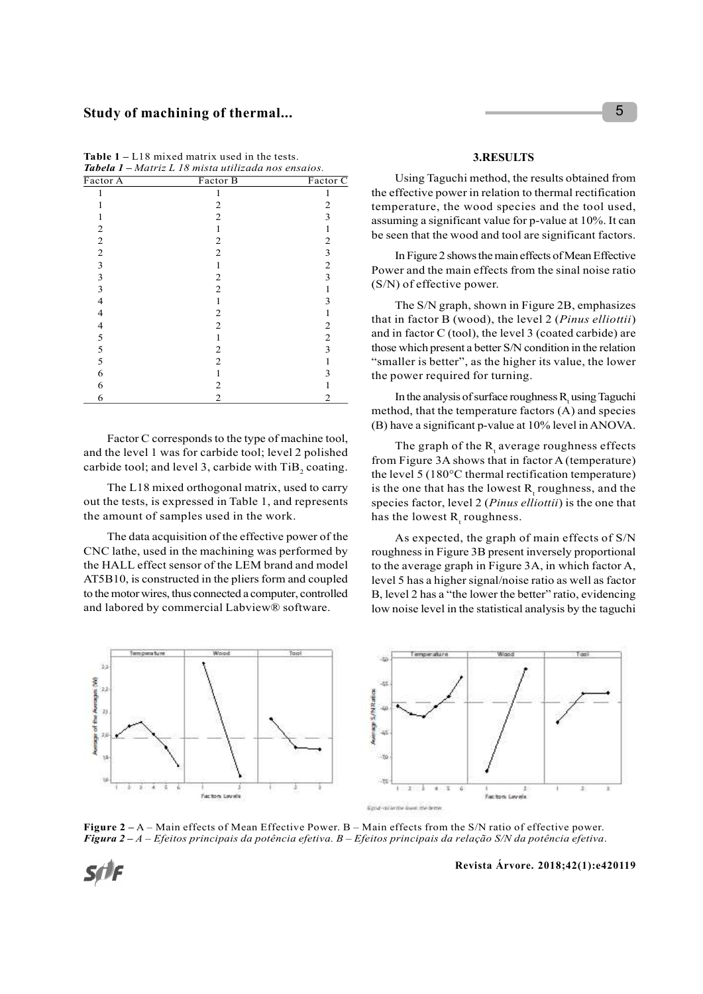## Study of machining of thermal...

| Study of machining of thermal                                                                                      |                                                        |                   | 5                                                          |  |
|--------------------------------------------------------------------------------------------------------------------|--------------------------------------------------------|-------------------|------------------------------------------------------------|--|
|                                                                                                                    |                                                        |                   |                                                            |  |
|                                                                                                                    |                                                        |                   |                                                            |  |
| <b>Table 1</b> – L18 mixed matrix used in the tests.<br><b>Tabela 1 –</b> Matriz L 18 mista utilizada nos ensaios. |                                                        |                   | 3.RESULTS                                                  |  |
|                                                                                                                    |                                                        |                   |                                                            |  |
| Factor A                                                                                                           | Factor B                                               | Factor C          | Using Taguchi method, the results obtained from            |  |
| 1                                                                                                                  | 1                                                      | 1                 | the effective power in relation to thermal rectification   |  |
| 1                                                                                                                  | $\overline{c}$                                         | $\overline{c}$    | temperature, the wood species and the tool used,           |  |
| $\mathbf{1}$<br>$\overline{c}$                                                                                     | $\overline{c}$<br>$\mathbf{1}$                         | 3<br>$\mathbf{1}$ | assuming a significant value for p-value at 10%. It can    |  |
| $\overline{c}$                                                                                                     | $\overline{c}$                                         | $\overline{c}$    | be seen that the wood and tool are significant factors.    |  |
| $\overline{c}$                                                                                                     | $\overline{c}$                                         | 3                 |                                                            |  |
| 3                                                                                                                  | $\mathbf{1}$                                           | $\overline{c}$    | In Figure 2 shows the main effects of Mean Effective       |  |
| 3                                                                                                                  | $\overline{c}$                                         | 3                 | Power and the main effects from the sinal noise ratio      |  |
| 3                                                                                                                  | $\overline{c}$                                         | 1                 | (S/N) of effective power.                                  |  |
| 4                                                                                                                  | $\mathbf{1}$                                           | 3                 |                                                            |  |
| 4                                                                                                                  | $\overline{2}$                                         | $\mathbf{1}$      | The S/N graph, shown in Figure 2B, emphasizes              |  |
| 4                                                                                                                  | $\overline{c}$                                         | $\overline{c}$    | that in factor B (wood), the level 2 (Pinus elliottii)     |  |
| 5                                                                                                                  | $\mathbf{1}$                                           | $\overline{c}$    | and in factor C (tool), the level 3 (coated carbide) are   |  |
| 5                                                                                                                  | $\overline{c}$                                         | 3                 | those which present a better S/N condition in the relation |  |
| 5                                                                                                                  | $\overline{c}$                                         | $\mathbf{1}$      | "smaller is better", as the higher its value, the lower    |  |
| 6                                                                                                                  | $\mathbf{1}$                                           | 3                 |                                                            |  |
| 6                                                                                                                  | $\overline{c}$                                         | $\mathbf{1}$      | the power required for turning.                            |  |
| 6                                                                                                                  | $\overline{c}$                                         | $\overline{c}$    | In the analysis of surface roughness R, using Taguchi      |  |
|                                                                                                                    |                                                        |                   |                                                            |  |
|                                                                                                                    |                                                        |                   | method, that the temperature factors (A) and species       |  |
|                                                                                                                    |                                                        |                   | (B) have a significant p-value at 10% level in ANOVA.      |  |
|                                                                                                                    | Factor C corresponds to the type of machine tool,      |                   | The graph of the $R_1$ average roughness effects           |  |
|                                                                                                                    | and the level 1 was for carbide tool; level 2 polished |                   |                                                            |  |
|                                                                                                                    | carbide tool; and level 3, carbide with TiB, coating.  |                   | from Figure 3A shows that in factor A (temperature)        |  |
|                                                                                                                    |                                                        |                   |                                                            |  |

Table 1 – L18 mixed matrix used in the tests. Tabela 1 – Matriz L 18 mista utilizada nos ensaios.

The L18 mixed orthogonal matrix, used to carry out the tests, is expressed in Table 1, and represents the amount of samples used in the work.

The data acquisition of the effective power of the CNC lathe, used in the machining was performed by the HALL effect sensor of the LEM brand and model AT5B10, is constructed in the pliers form and coupled to the motor wires, thus connected a computer, controlled and labored by commercial Labview® software.



#### 3.RESULTS

In the analysis of surface roughness  $R_t$  using Taguchi method, that the temperature factors (A) and species (B) have a significant p-value at 10% level in ANOVA.

The graph of the  $R_{t}$  average roughness effects from Figure 3A shows that in factor A (temperature) the level 5 (180°C thermal rectification temperature) is the one that has the lowest  $R_t$  roughness, and the species factor, level 2 (Pinus elliottii) is the one that has the lowest  $R_{t}$  roughness.

As expected, the graph of main effects of S/N roughness in Figure 3B present inversely proportional to the average graph in Figure 3A, in which factor A, level 5 has a higher signal/noise ratio as well as factor B, level 2 has a "the lower the better" ratio, evidencing low noise level in the statistical analysis by the taguchi



Figure 2 – A – Main effects of Mean Effective Power. B – Main effects from the S/N ratio of effective power. Figura 2 – A – Efeitos principais da potência efetiva. B – Efeitos principais da relação S/N da potência efetiva.

Sf)F

Revista Árvore. 2018;42(1):e420119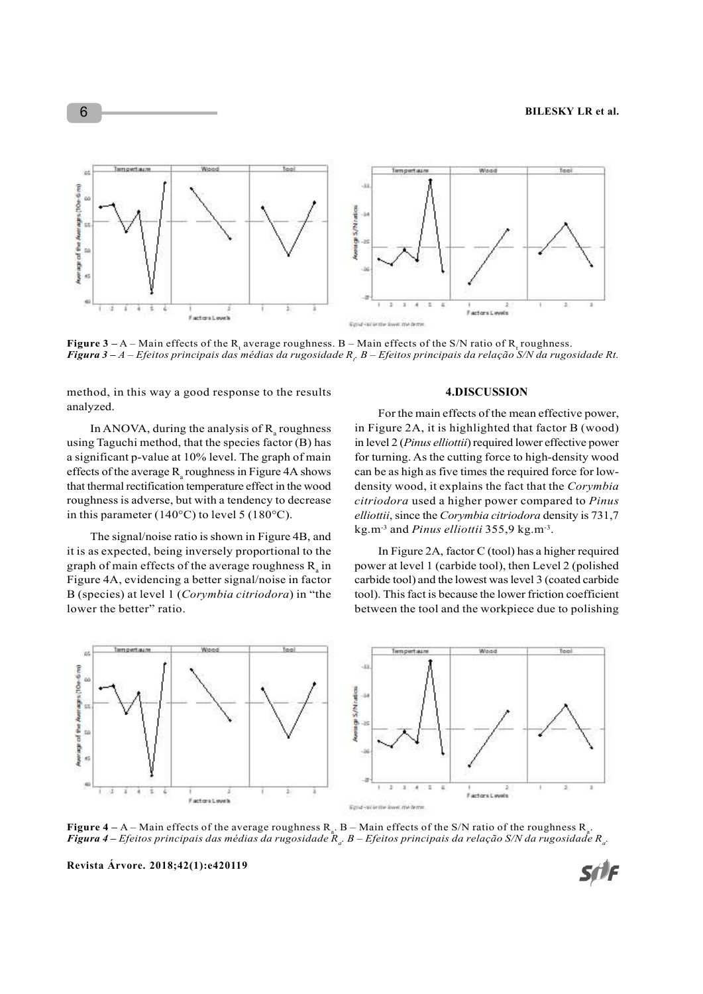

Figure 3 – A – Main effects of the R<sub>t</sub> average roughness. B – Main effects of the S/N ratio of R<sub>t</sub> roughness. **Figura 3 –** A – Efeitos principais das médias da rugosidade R<sub>t</sub>. B – Efeitos principais da relação S/N da rugosidade Rt.

method, in this way a good response to the results analyzed.

In ANOVA, during the analysis of  $R_{a}$  roughness using Taguchi method, that the species factor (B) has a significant p-value at 10% level. The graph of main effects of the average  $R_a$  roughness in Figure 4A shows can be as high as five tim that thermal rectification temperature effect in the wood roughness is adverse, but with a tendency to decrease in this parameter (140°C) to level 5 (180°C).

The signal/noise ratio is shown in Figure 4B, and it is as expected, being inversely proportional to the graph of main effects of the average roughness  $R_{a}$  in Figure 4A, evidencing a better signal/noise in factor B (species) at level 1 (Corymbia citriodora) in "the lower the better" ratio.

#### 4.DISCUSSION

 roughness in Figure 2A, it is highlighted that factor B (wood) For the main effects of the mean effective power, in level 2 (Pinus elliottii) required lower effective power for turning. As the cutting force to high-density wood can be as high as five times the required force for lowdensity wood, it explains the fact that the Corymbia citriodora used a higher power compared to Pinus elliottii, since the Corymbia citriodora density is 731,7 kg.m<sup>-3</sup> and *Pinus elliottii*  $355,9$  kg.m<sup>-3</sup>. .

 in power at level 1 (carbide tool), then Level 2 (polished In Figure 2A, factor C (tool) has a higher required carbide tool) and the lowest was level 3 (coated carbide tool). This fact is because the lower friction coefficient between the tool and the workpiece due to polishing





**Figure 4** – A – Main effects of the average roughness  $R_a$ . B – Main effects of the S/N ratio of the roughness  $R_a$ . . **Figura 4 –** Efeitos principais das médias da rugosidade  $\mathcal{R}_a$ . B – Efeitos principais da relação S/N da rugosidade  $R_a$ .

Revista Árvore. 2018;42(1):e420119

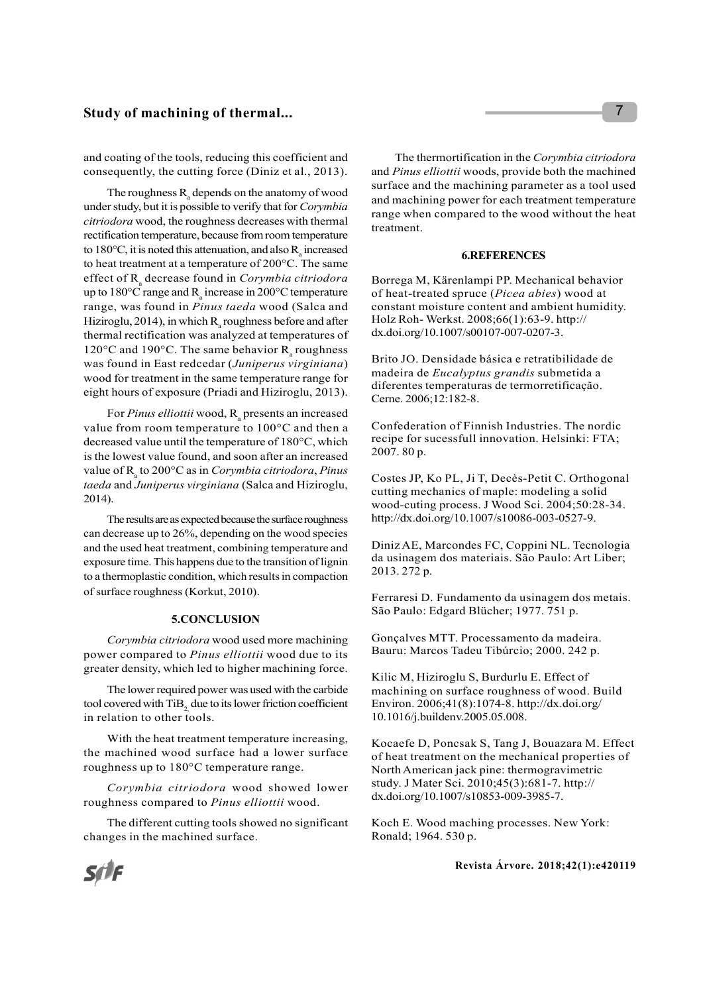## Study of machining of thermal...

and coating of the tools, reducing this coefficient and consequently, the cutting force (Diniz et al., 2013).

The roughness  $R_a$  depends on the anatomy of wood<br>and machining power for each tra under study, but it is possible to verify that for Corymbia citriodora wood, the roughness decreases with thermal rectification temperature, because from room temperature to 180 $\degree$ C, it is noted this attenuation, and also R<sub>a</sub> increased 6. REFERENCI to heat treatment at a temperature of 200°C. The same effect of R<sub>a</sub> decrease found in Corymbia citriodora Borrega M, Kärenlampi PP. Meo up to 180°C range and R<sub>a</sub> increase in 200°C temperature of heat-treated spruce (*Pic* range, was found in Pinus taeda wood (Salca and Hiziroglu, 2014), in which  $R_a$  roughness before and after Holz Roh-Werkst. 2 thermal rectification was analyzed at temperatures of  $120^{\circ}$ C and  $190^{\circ}$ C. The same behavior  $R_{a}$  roughness was found in East redcedar (Juniperus virginiana) wood for treatment in the same temperature range for eight hours of exposure (Priadi and Hiziroglu, 2013).

For *Pinus elliottii* wood,  $R_a$  presents an increased value from room temperature to 100°C and then a decreased value until the temperature of 180°C, which is the lowest value found, and soon after an increased value of  $R_a$  to 200°C as in Corymbia citriodora, Pinus taeda and Juniperus virginiana (Salca and Hiziroglu, 2014).

The results are as expected because the surface roughness can decrease up to 26%, depending on the wood species and the used heat treatment, combining temperature and exposure time. This happens due to the transition of lignin to a thermoplastic condition, which results in compaction of surface roughness (Korkut, 2010).

#### 5.CONCLUSION

Corymbia citriodora wood used more machining power compared to Pinus elliottii wood due to its greater density, which led to higher machining force.

The lower required power was used with the carbide tool covered with TiB<sub>2</sub> due to its lower friction coefficient in relation to other tools.

With the heat treatment temperature increasing, the machined wood surface had a lower surface roughness up to 180°C temperature range.

Corymbia citriodora wood showed lower roughness compared to Pinus elliottii wood.

The different cutting tools showed no significant changes in the machined surface.

The thermortification in the Corymbia citriodora and Pinus elliottii woods, provide both the machined surface and the machining parameter as a tool used and machining power for each treatment temperature range when compared to the wood without the heat treatment.

#### 6.REFERENCES

Borrega M, Kärenlampi PP. Mechanical behavior of heat-treated spruce (Picea abies) wood at constant moisture content and ambient humidity. Holz Roh- Werkst. 2008;66(1):63-9. http:// dx.doi.org/10.1007/s00107-007-0207-3.

Brito JO. Densidade básica e retratibilidade de madeira de Eucalyptus grandis submetida a diferentes temperaturas de termorretificação. Cerne. 2006;12:182-8.

Confederation of Finnish Industries. The nordic recipe for sucessfull innovation. Helsinki: FTA; 2007. 80 p.

Costes JP, Ko PL, Ji T, Decès-Petit C. Orthogonal cutting mechanics of maple: modeling a solid wood-cuting process. J Wood Sci. 2004;50:28-34. http://dx.doi.org/10.1007/s10086-003-0527-9.

Diniz AE, Marcondes FC, Coppini NL. Tecnologia da usinagem dos materiais. São Paulo: Art Liber; 2013. 272 p.

Ferraresi D. Fundamento da usinagem dos metais. São Paulo: Edgard Blücher; 1977. 751 p.

Gonçalves MTT. Processamento da madeira. Bauru: Marcos Tadeu Tibúrcio; 2000. 242 p.

Kilic M, Hiziroglu S, Burdurlu E. Effect of machining on surface roughness of wood. Build Environ. 2006;41(8):1074-8. http://dx.doi.org/ 10.1016/j.buildenv.2005.05.008.

Kocaefe D, Poncsak S, Tang J, Bouazara M. Effect of heat treatment on the mechanical properties of North American jack pine: thermogravimetric study. J Mater Sci. 2010;45(3):681-7. http:// dx.doi.org/10.1007/s10853-009-3985-7.

Koch E. Wood maching processes. New York: Ronald; 1964. 530 p.

Revista Árvore. 2018;42(1):e420119